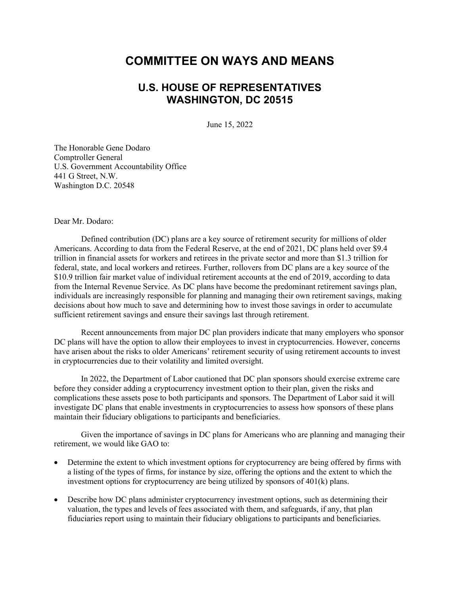## **COMMITTEE ON WAYS AND MEANS**

## **U.S. HOUSE OF REPRESENTATIVES WASHINGTON, DC 20515**

June 15, 2022

The Honorable Gene Dodaro Comptroller General U.S. Government Accountability Office 441 G Street, N.W. Washington D.C. 20548

Dear Mr. Dodaro:

Defined contribution (DC) plans are a key source of retirement security for millions of older Americans. According to data from the Federal Reserve, at the end of 2021, DC plans held over \$9.4 trillion in financial assets for workers and retirees in the private sector and more than \$1.3 trillion for federal, state, and local workers and retirees. Further, rollovers from DC plans are a key source of the \$10.9 trillion fair market value of individual retirement accounts at the end of 2019, according to data from the Internal Revenue Service. As DC plans have become the predominant retirement savings plan, individuals are increasingly responsible for planning and managing their own retirement savings, making decisions about how much to save and determining how to invest those savings in order to accumulate sufficient retirement savings and ensure their savings last through retirement.

Recent announcements from major DC plan providers indicate that many employers who sponsor DC plans will have the option to allow their employees to invest in cryptocurrencies. However, concerns have arisen about the risks to older Americans' retirement security of using retirement accounts to invest in cryptocurrencies due to their volatility and limited oversight.

In 2022, the Department of Labor cautioned that DC plan sponsors should exercise extreme care before they consider adding a cryptocurrency investment option to their plan, given the risks and complications these assets pose to both participants and sponsors. The Department of Labor said it will investigate DC plans that enable investments in cryptocurrencies to assess how sponsors of these plans maintain their fiduciary obligations to participants and beneficiaries.

Given the importance of savings in DC plans for Americans who are planning and managing their retirement, we would like GAO to:

- Determine the extent to which investment options for cryptocurrency are being offered by firms with a listing of the types of firms, for instance by size, offering the options and the extent to which the investment options for cryptocurrency are being utilized by sponsors of 401(k) plans.
- Describe how DC plans administer cryptocurrency investment options, such as determining their valuation, the types and levels of fees associated with them, and safeguards, if any, that plan fiduciaries report using to maintain their fiduciary obligations to participants and beneficiaries.